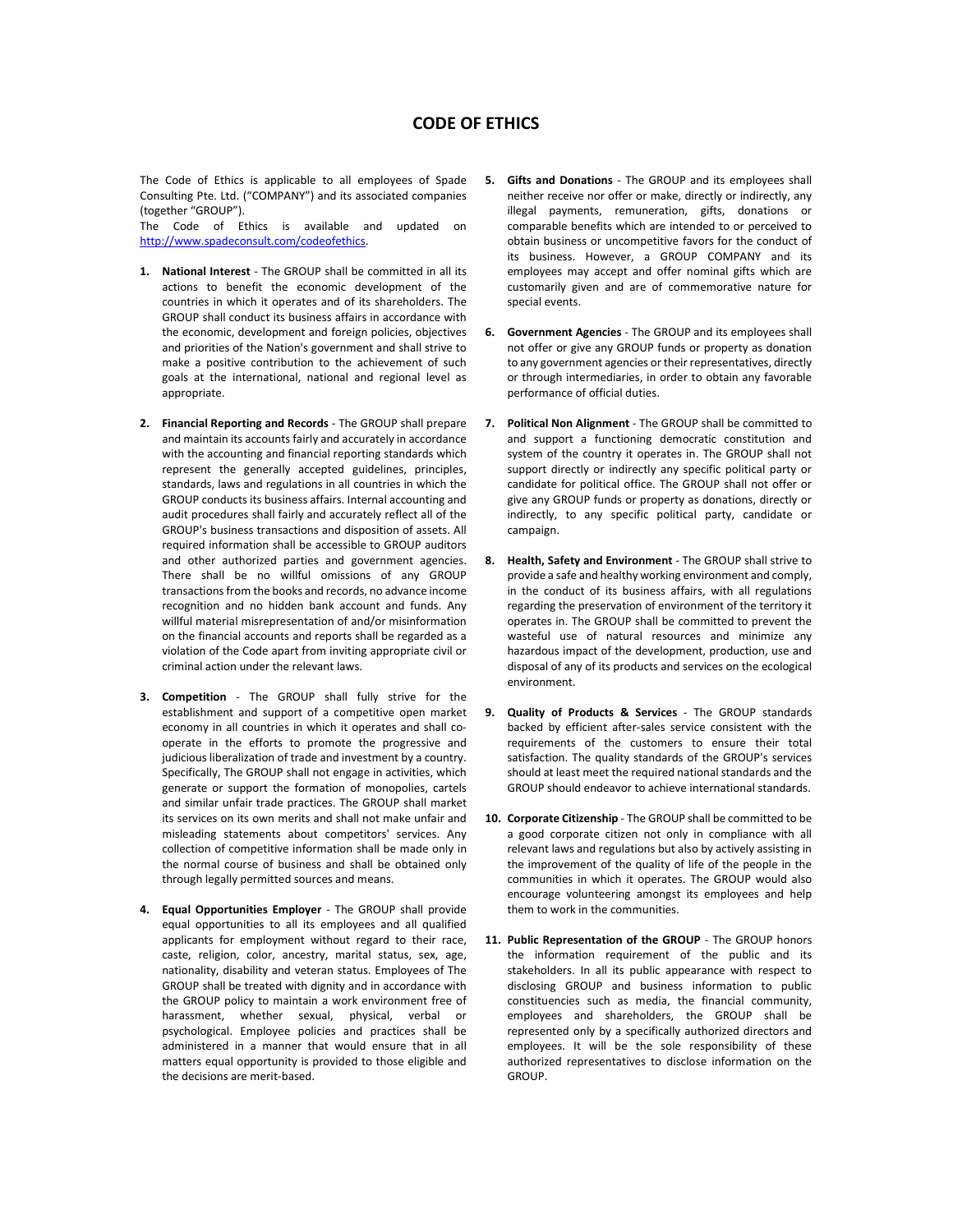## CODE OF ETHICS

The Code of Ethics is applicable to all employees of Spade Consulting Pte. Ltd. ("COMPANY") and its associated companies (together "GROUP").

The Code of Ethics is available and updated on http://www.spadeconsult.com/codeofethics.

- 1. National Interest The GROUP shall be committed in all its actions to benefit the economic development of the countries in which it operates and of its shareholders. The GROUP shall conduct its business affairs in accordance with the economic, development and foreign policies, objectives and priorities of the Nation's government and shall strive to make a positive contribution to the achievement of such goals at the international, national and regional level as appropriate.
- 2. Financial Reporting and Records The GROUP shall prepare and maintain its accounts fairly and accurately in accordance with the accounting and financial reporting standards which represent the generally accepted guidelines, principles, standards, laws and regulations in all countries in which the GROUP conducts its business affairs. Internal accounting and audit procedures shall fairly and accurately reflect all of the GROUP's business transactions and disposition of assets. All required information shall be accessible to GROUP auditors and other authorized parties and government agencies. There shall be no willful omissions of any GROUP transactions from the books and records, no advance income recognition and no hidden bank account and funds. Any willful material misrepresentation of and/or misinformation on the financial accounts and reports shall be regarded as a violation of the Code apart from inviting appropriate civil or criminal action under the relevant laws.
- 3. Competition The GROUP shall fully strive for the establishment and support of a competitive open market economy in all countries in which it operates and shall cooperate in the efforts to promote the progressive and judicious liberalization of trade and investment by a country. Specifically, The GROUP shall not engage in activities, which generate or support the formation of monopolies, cartels and similar unfair trade practices. The GROUP shall market its services on its own merits and shall not make unfair and misleading statements about competitors' services. Any collection of competitive information shall be made only in the normal course of business and shall be obtained only through legally permitted sources and means.
- 4. Equal Opportunities Employer The GROUP shall provide equal opportunities to all its employees and all qualified applicants for employment without regard to their race, caste, religion, color, ancestry, marital status, sex, age, nationality, disability and veteran status. Employees of The GROUP shall be treated with dignity and in accordance with the GROUP policy to maintain a work environment free of harassment, whether sexual, physical, verbal or psychological. Employee policies and practices shall be administered in a manner that would ensure that in all matters equal opportunity is provided to those eligible and the decisions are merit-based.
- 5. Gifts and Donations The GROUP and its employees shall neither receive nor offer or make, directly or indirectly, any illegal payments, remuneration, gifts, donations or comparable benefits which are intended to or perceived to obtain business or uncompetitive favors for the conduct of its business. However, a GROUP COMPANY and its employees may accept and offer nominal gifts which are customarily given and are of commemorative nature for special events.
- 6. Government Agencies The GROUP and its employees shall not offer or give any GROUP funds or property as donation to any government agencies or their representatives, directly or through intermediaries, in order to obtain any favorable performance of official duties.
- 7. Political Non Alignment The GROUP shall be committed to and support a functioning democratic constitution and system of the country it operates in. The GROUP shall not support directly or indirectly any specific political party or candidate for political office. The GROUP shall not offer or give any GROUP funds or property as donations, directly or indirectly, to any specific political party, candidate or campaign.
- 8. Health, Safety and Environment The GROUP shall strive to provide a safe and healthy working environment and comply, in the conduct of its business affairs, with all regulations regarding the preservation of environment of the territory it operates in. The GROUP shall be committed to prevent the wasteful use of natural resources and minimize any hazardous impact of the development, production, use and disposal of any of its products and services on the ecological environment.
- 9. Quality of Products & Services The GROUP standards backed by efficient after-sales service consistent with the requirements of the customers to ensure their total satisfaction. The quality standards of the GROUP's services should at least meet the required national standards and the GROUP should endeavor to achieve international standards.
- 10. Corporate Citizenship The GROUP shall be committed to be a good corporate citizen not only in compliance with all relevant laws and regulations but also by actively assisting in the improvement of the quality of life of the people in the communities in which it operates. The GROUP would also encourage volunteering amongst its employees and help them to work in the communities.
- 11. Public Representation of the GROUP The GROUP honors the information requirement of the public and its stakeholders. In all its public appearance with respect to disclosing GROUP and business information to public constituencies such as media, the financial community, employees and shareholders, the GROUP shall be represented only by a specifically authorized directors and employees. It will be the sole responsibility of these authorized representatives to disclose information on the **GROUP**